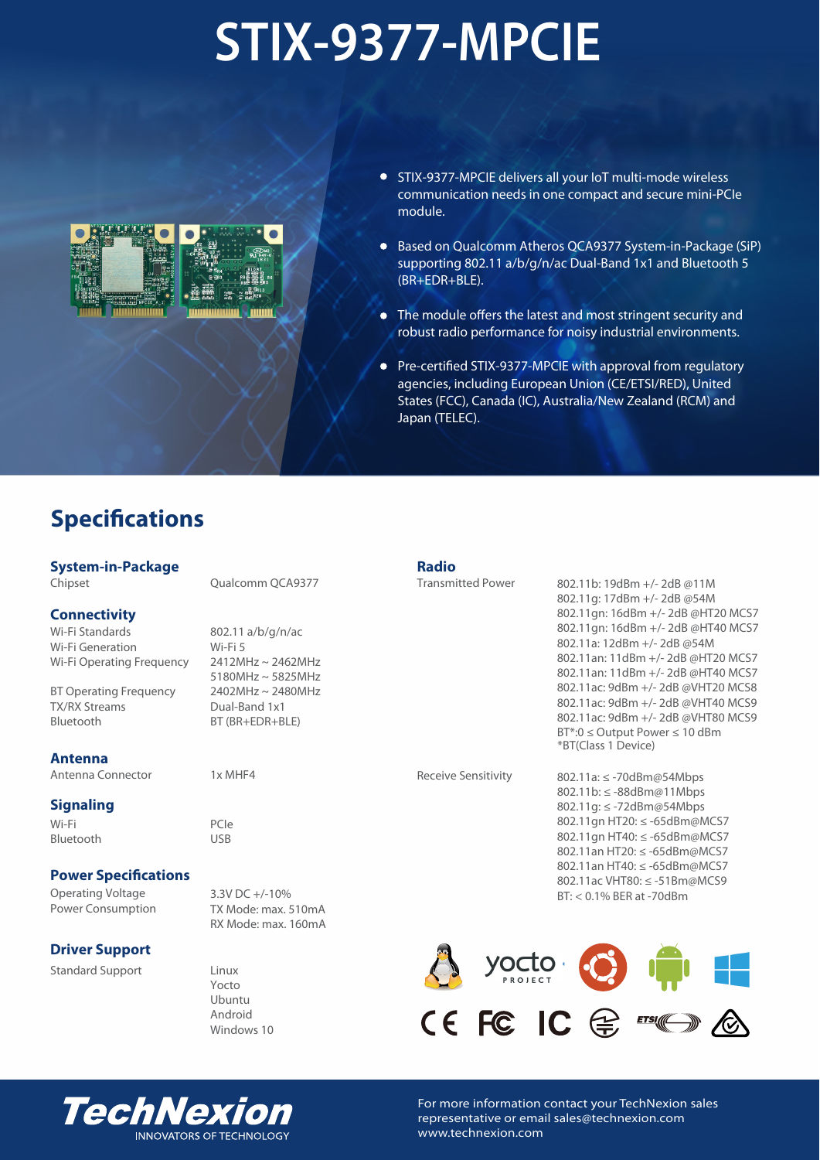# **STIX-9377-MPCIE**



- STIX-9377-MPCIE delivers all your IoT multi-mode wireless communication needs in one compact and secure mini-PCIe module.
- Based on Qualcomm Atheros QCA9377 System-in-Package (SiP) supporting 802.11 a/b/g/n/ac Dual-Band 1x1 and Bluetooth 5 (BR+EDR+BLE).
- The module offers the latest and most stringent security and robust radio performance for noisy industrial environments.
- Pre-certified STIX-9377-MPCIE with approval from regulatory agencies, including European Union (CE/ETSI/RED), United States (FCC), Canada (IC), Australia/New Zealand (RCM) and Japan (TELEC).

# **Specifications**

# **System-in-Package**

Chipset

#### **Connectivity**

Wi-Fi Standards Wi-Fi Generation Wi-Fi Operating Frequency

BT Operating Frequency TX/RX Streams Bluetooth

#### **Antenna**

Antenna Connector

# **Signaling**

Wi-Fi Bluetooth

# **Power Specifications**

Operating Voltage Power Consumption

# **Driver Support**

Standard Support

Qualcomm QCA9377

802.11 a/b/g/n/ac Wi-Fi 5 2412MHz ~ 2462MHz 5180MHz ~ 5825MHz 2402MHz ~ 2480MHz Dual-Band 1x1 BT (BR+EDR+BLE)

1x MHF4

PCIe USB

3.3V DC +/-10% TX Mode: max. 510mA RX Mode: max. 160mA

Linux Yocto Ubuntu Android Windows 10

#### **Radio**

Transmitted Power

802.11b: 19dBm +/- 2dB @11M 802.11g: 17dBm +/- 2dB @54M 802.11gn: 16dBm +/- 2dB @HT20 MCS7 802.11gn: 16dBm +/- 2dB @HT40 MCS7 802.11a: 12dBm +/- 2dB @54M 802.11an: 11dBm +/- 2dB @HT20 MCS7 802.11an: 11dBm +/- 2dB @HT40 MCS7 802.11ac: 9dBm +/- 2dB @VHT20 MCS8 802.11ac: 9dBm +/- 2dB @VHT40 MCS9 802.11ac: 9dBm +/- 2dB @VHT80 MCS9 BT\*:0 ≤ Output Power ≤ 10 dBm \*BT(Class 1 Device)

Receive Sensitivity

802.11a: ≤ -70dBm@54Mbps 802.11b: ≤ -88dBm@11Mbps 802.11g: ≤ -72dBm@54Mbps 802.11gn HT20: ≤ -65dBm@MCS7 802.11gn HT40: ≤ -65dBm@MCS7 802.11an HT20: ≤ -65dBm@MCS7 802.11an HT40: ≤ -65dBm@MCS7 802.11ac VHT80: ≤ -51Bm@MCS9 BT: < 0.1% BER at -70dBm





For more information contact your TechNexion sales representative or email sales@technexion.com www.technexion.com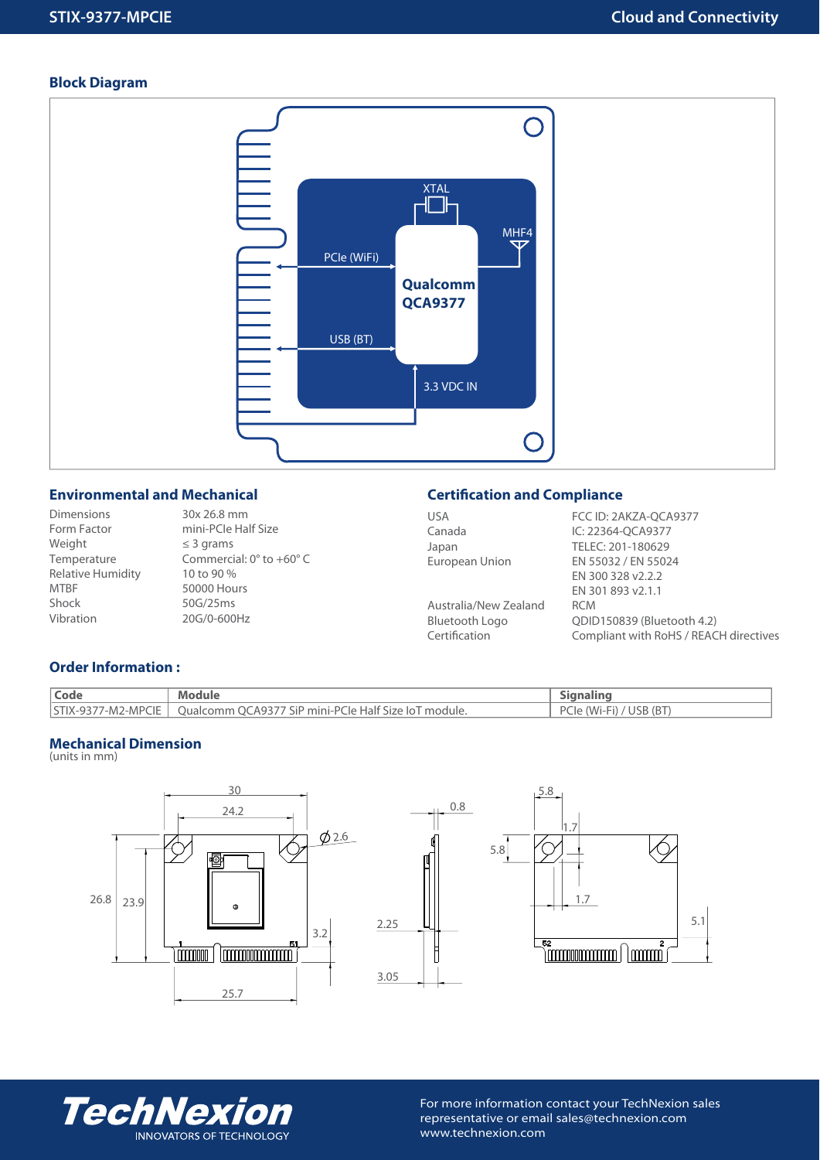# **Block Diagram**



# **Environmental and Mechanical**

Dimensions Form Factor Weight Temperature Relative Humidity MTBF Shock Vibration

30x 26.8 mm mini-PCIe Half Size ≤ 3 grams Commercial: 0° to +60° C 10 to 90 % 50000 Hours 50G/25ms 20G/0-600Hz

# **Certification and Compliance**

| <b>USA</b>            | FCC ID: 2AKZA-QCA9377                  |
|-----------------------|----------------------------------------|
| Canada                | IC: 22364-OCA9377                      |
| Japan                 | TELEC: 201-180629                      |
| European Union        | EN 55032 / EN 55024                    |
|                       | EN 300 328 v2.2.2                      |
|                       | EN 301 893 v2.1.1                      |
| Australia/New Zealand | <b>RCM</b>                             |
| Bluetooth Logo        | QDID150839 (Bluetooth 4.2)             |
| Certification         | Compliant with RoHS / REACH directives |
|                       |                                        |

# **Order Information :**

| <b>Code</b> | <b>Module</b>                                                             |                         |
|-------------|---------------------------------------------------------------------------|-------------------------|
|             | STIX-9377-M2-MPCIE   Qualcomm QCA9377 SiP mini-PCIe Half Size IoT module. | PCIe (Wi-Fi) / USB (BT) |

# **Mechanical Dimension**

(units in mm)







For more information contact your TechNexion sales representative or email sales@technexion.com www.technexion.com